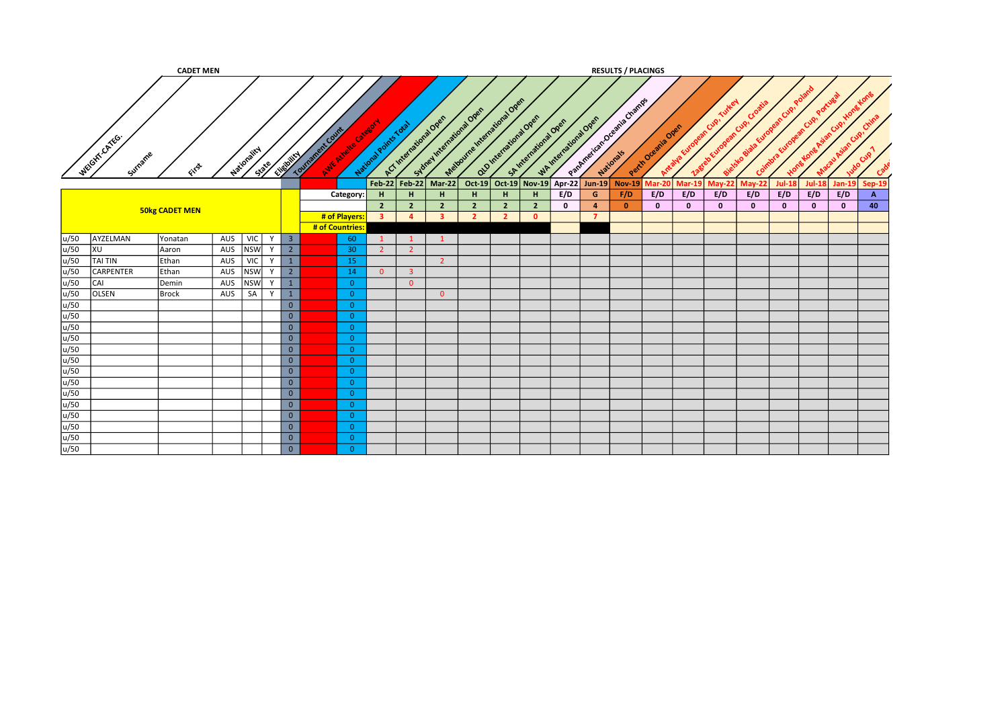|      |                        | <b>CADET MEN</b>      |     |             |       |                         |                                         |                 |                                  |                                  |                                                      |                                  |                                  |                                            |             |                      | <b>RESULTS / PLACINGS</b> |                   |               |               |               |              |               |               |                      |  |
|------|------------------------|-----------------------|-----|-------------|-------|-------------------------|-----------------------------------------|-----------------|----------------------------------|----------------------------------|------------------------------------------------------|----------------------------------|----------------------------------|--------------------------------------------|-------------|----------------------|---------------------------|-------------------|---------------|---------------|---------------|--------------|---------------|---------------|----------------------|--|
|      | WEGITTCATEG<br>Surname | Eller                 |     | Mationality | State | Elizabeth               | Tourisment Curry<br>Avie Aireire Catego |                 | National Points Total            |                                  | Subrel International Open<br>A.C. International Over | Method me I metal digital Open   |                                  | alginierational Open<br>Skytteriatora Over |             | WAINTENTWOOD OPEN    | Pathresican beams Change  | Perindream's Over | Arraya Europe | rean Cup!     | Croo          |              |               | Cup!          |                      |  |
|      |                        |                       |     |             |       |                         |                                         |                 |                                  |                                  | Feb-22 Feb-22 Mar-22                                 |                                  |                                  | Oct-19 Oct-19 Nov-19 Apr-22                |             | Jun-19               | $Nov-19$                  | Mar-20            | <b>Mar-19</b> | <b>May-22</b> | <b>May-22</b> | $Jul-18$     | <b>Jul-18</b> | <b>Jan-19</b> | Sep-19               |  |
|      |                        |                       |     |             |       |                         |                                         | Category:       | H                                | н                                | H.                                                   | H.                               | H                                | н                                          | E/D         | G                    | F/D                       | E/D               | E/D           | E/D           | E/D           | E/D          | E/D           | E/D           | $\overline{A}$<br>40 |  |
|      |                        | <b>50kg CADET MEN</b> |     |             |       |                         |                                         | # of Players:   | $\overline{2}$<br>3 <sup>1</sup> | $\overline{2}$<br>$\overline{a}$ | $\overline{2}$<br>$\overline{\mathbf{3}}$            | $\overline{2}$<br>$\overline{2}$ | $\overline{2}$<br>$\overline{2}$ | $\overline{2}$<br>$\Omega$                 | $\mathbf 0$ | $\overline{a}$<br>-7 | $\mathbf{0}$              | $\mathbf{0}$      | $\mathbf{0}$  | $\bf{0}$      | $\mathbf{0}$  | $\mathbf{0}$ | $\mathbf{0}$  | $\mathbf{0}$  |                      |  |
|      |                        |                       |     |             |       |                         | # of Countries:                         |                 |                                  |                                  |                                                      |                                  |                                  |                                            |             |                      |                           |                   |               |               |               |              |               |               |                      |  |
| u/50 | AYZELMAN               | Yonatan               | AUS | VIC         | Y     | $\overline{\mathbf{3}}$ |                                         | 60              |                                  | $\mathbf{1}$                     | $\mathbf{1}$                                         |                                  |                                  |                                            |             |                      |                           |                   |               |               |               |              |               |               |                      |  |
| u/50 | XU                     | Aaron                 | AUS | <b>NSW</b>  | Y     | $\overline{2}$          |                                         | 30 <sub>2</sub> | $\overline{2}$                   | $\overline{2}$                   |                                                      |                                  |                                  |                                            |             |                      |                           |                   |               |               |               |              |               |               |                      |  |
| u/50 | <b>TAI TIN</b>         | Ethan                 | AUS | VIC         | Y     | $\mathbf{1}$            |                                         | 15              |                                  |                                  | $\overline{2}$                                       |                                  |                                  |                                            |             |                      |                           |                   |               |               |               |              |               |               |                      |  |
| u/50 | <b>CARPENTER</b>       | Ethan                 | AUS | <b>NSW</b>  | Y     | $\overline{2}$          |                                         | 14              | $\overline{0}$                   | $\overline{\mathbf{3}}$          |                                                      |                                  |                                  |                                            |             |                      |                           |                   |               |               |               |              |               |               |                      |  |
| u/50 | CAI                    | Demin                 | AUS | <b>NSW</b>  | Y     | $\mathbf{1}$            |                                         | $\Omega$        |                                  | $\Omega$                         |                                                      |                                  |                                  |                                            |             |                      |                           |                   |               |               |               |              |               |               |                      |  |
| u/50 | OLSEN                  | Brock                 | AUS | SA          | Y     | $\mathbf{1}$            |                                         | $\Omega$        |                                  |                                  | $\overline{0}$                                       |                                  |                                  |                                            |             |                      |                           |                   |               |               |               |              |               |               |                      |  |
| u/50 |                        |                       |     |             |       | $\overline{0}$          |                                         | $\overline{0}$  |                                  |                                  |                                                      |                                  |                                  |                                            |             |                      |                           |                   |               |               |               |              |               |               |                      |  |
| u/50 |                        |                       |     |             |       | $\overline{0}$          |                                         | $\overline{0}$  |                                  |                                  |                                                      |                                  |                                  |                                            |             |                      |                           |                   |               |               |               |              |               |               |                      |  |
| u/50 |                        |                       |     |             |       | $\overline{0}$          |                                         | $\overline{0}$  |                                  |                                  |                                                      |                                  |                                  |                                            |             |                      |                           |                   |               |               |               |              |               |               |                      |  |
| u/50 |                        |                       |     |             |       | $\overline{0}$          |                                         | $\overline{0}$  |                                  |                                  |                                                      |                                  |                                  |                                            |             |                      |                           |                   |               |               |               |              |               |               |                      |  |
| u/50 |                        |                       |     |             |       | $\overline{0}$          |                                         | $\overline{0}$  |                                  |                                  |                                                      |                                  |                                  |                                            |             |                      |                           |                   |               |               |               |              |               |               |                      |  |
| u/50 |                        |                       |     |             |       | $\overline{0}$          |                                         | $\overline{0}$  |                                  |                                  |                                                      |                                  |                                  |                                            |             |                      |                           |                   |               |               |               |              |               |               |                      |  |
| u/50 |                        |                       |     |             |       | $\overline{0}$          |                                         | $\overline{0}$  |                                  |                                  |                                                      |                                  |                                  |                                            |             |                      |                           |                   |               |               |               |              |               |               |                      |  |
| u/50 |                        |                       |     |             |       | $\overline{0}$          |                                         | $\overline{0}$  |                                  |                                  |                                                      |                                  |                                  |                                            |             |                      |                           |                   |               |               |               |              |               |               |                      |  |
| u/50 |                        |                       |     |             |       | $\overline{0}$          |                                         | $\overline{0}$  |                                  |                                  |                                                      |                                  |                                  |                                            |             |                      |                           |                   |               |               |               |              |               |               |                      |  |
| u/50 |                        |                       |     |             |       | $\overline{0}$          |                                         | $\overline{0}$  |                                  |                                  |                                                      |                                  |                                  |                                            |             |                      |                           |                   |               |               |               |              |               |               |                      |  |
| u/50 |                        |                       |     |             |       | $\overline{0}$          |                                         | $\overline{0}$  |                                  |                                  |                                                      |                                  |                                  |                                            |             |                      |                           |                   |               |               |               |              |               |               |                      |  |
| u/50 |                        |                       |     |             |       | $\overline{0}$          |                                         | $\overline{0}$  |                                  |                                  |                                                      |                                  |                                  |                                            |             |                      |                           |                   |               |               |               |              |               |               |                      |  |
| u/50 |                        |                       |     |             |       | $\overline{0}$          |                                         | $\overline{0}$  |                                  |                                  |                                                      |                                  |                                  |                                            |             |                      |                           |                   |               |               |               |              |               |               |                      |  |
| u/50 |                        |                       |     |             |       | $\overline{0}$          |                                         | $\overline{0}$  |                                  |                                  |                                                      |                                  |                                  |                                            |             |                      |                           |                   |               |               |               |              |               |               |                      |  |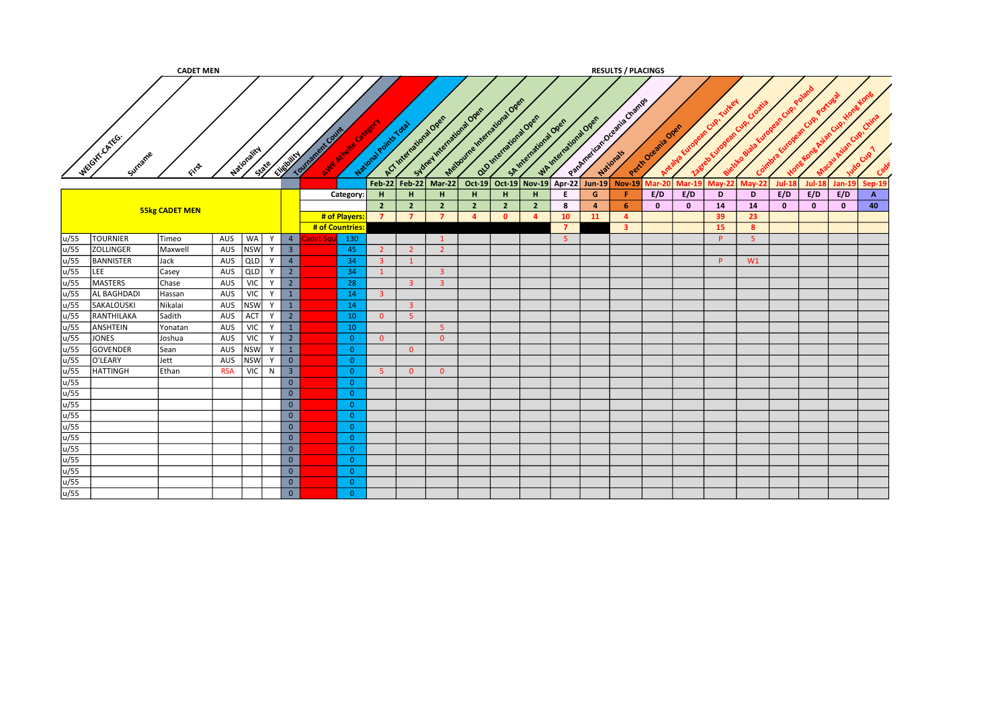|              |                    | <b>CADET MEN</b>      |            |             |       |                         |                  |                    |                       |                         |                                                     |                              |                |                                               |    |                  | <b>RESULTS / PLACINGS</b>   |                   |                       |                            |               |                                 |               |               |                |
|--------------|--------------------|-----------------------|------------|-------------|-------|-------------------------|------------------|--------------------|-----------------------|-------------------------|-----------------------------------------------------|------------------------------|----------------|-----------------------------------------------|----|------------------|-----------------------------|-------------------|-----------------------|----------------------------|---------------|---------------------------------|---------------|---------------|----------------|
| WEGIT CATEG. | Surname            | FITS                  |            | Nationality | State | Elistown                | Tourisment Count | Avie Nivele Citate | National Points Total |                         | Sydney International Open<br>ACT International Open | Method me International Open |                | alginierational over<br>St International Open |    | Whitenstons Open | Pathresican breasts Changes | Perih Oremia Over | Antalya European Cip. | nean Cup!<br>Zagreb Europe |               | obiala European Cup,<br>Coimbra | Cup!          | Cup!          | Crim           |
|              |                    |                       |            |             |       |                         |                  |                    | $Feb-22$              | <b>Feb-22</b>           | $Mar-22$                                            | $Oct-19$                     |                | Oct-19 Nov-19 Apr-22                          |    | $Jun-19$         | $Nov-19$                    | <b>Mar-20</b>     | <b>Mar-19</b>         | $May-22$                   | <b>May-22</b> | <b>Jul-18</b>                   | <b>Jul-18</b> | <b>Jan-19</b> | Sep-19         |
|              |                    |                       |            |             |       |                         |                  | Category:          | H                     | H                       | H                                                   | H                            | H              | н                                             | E. | G                | Æ.                          | E/D               | E/D                   | D                          | D             | E/D                             | E/D           | E/D           | $\overline{A}$ |
|              |                    |                       |            |             |       |                         |                  |                    | $\overline{2}$        | $\overline{2}$          | $\overline{2}$                                      | $\overline{2}$               | $\overline{2}$ | $\overline{2}$                                | 8  | $\overline{4}$   | -6                          | $\bf{0}$          | $\mathbf{0}$          | 14                         | 14            | $\mathbf{0}$                    | $\mathbf{0}$  | $\mathbf{o}$  | 40             |
|              |                    | <b>55kg CADET MEN</b> |            |             |       |                         |                  | # of Players:      | $\overline{7}$        | $\overline{7}$          | $\overline{7}$                                      | $\overline{a}$               | $\mathbf{0}$   | $\mathbf{A}$                                  | 10 | <b>11</b>        | $\overline{a}$              |                   |                       | 39                         | 23            |                                 |               |               |                |
|              |                    |                       |            |             |       |                         |                  | # of Countries     |                       |                         |                                                     |                              |                |                                               |    |                  | $\mathbf{3}$                |                   |                       | 15                         | 8             |                                 |               |               |                |
| u/55         | <b>TOURNIER</b>    | Timeo                 | AUS        | WA          | Y     | $\overline{4}$          | det Sa           | 130                |                       |                         | 1                                                   |                              |                |                                               | -5 |                  |                             |                   |                       | <b>P</b>                   | - 5           |                                 |               |               |                |
| u/55         | <b>ZOLLINGER</b>   | Maxwell               | AUS        | <b>NSW</b>  | Y     | $\overline{\mathbf{3}}$ |                  | 45                 | $2^{\circ}$           | $\overline{2}$          | $\overline{2}$                                      |                              |                |                                               |    |                  |                             |                   |                       |                            |               |                                 |               |               |                |
| u/55         | <b>BANNISTER</b>   | Jack                  | AUS        | QLD         | Y     | $\overline{4}$          |                  | 34                 | 3 <sup>7</sup>        | $\mathbf{1}$            |                                                     |                              |                |                                               |    |                  |                             |                   |                       | <b>P</b>                   | W1            |                                 |               |               |                |
| u/55<br>LEE  |                    | Casey                 | AUS        | QLD         | Y     | $\overline{2}$          |                  | 34                 | $\mathbf{1}$          |                         | 3 <sup>1</sup>                                      |                              |                |                                               |    |                  |                             |                   |                       |                            |               |                                 |               |               |                |
| u/55         | MASTERS            | Chase                 | AUS        | <b>VIC</b>  | Y     | $\overline{2}$          |                  | 28                 |                       | $\overline{\mathbf{3}}$ | $\overline{\mathbf{3}}$                             |                              |                |                                               |    |                  |                             |                   |                       |                            |               |                                 |               |               |                |
| u/55         | <b>AL BAGHDADI</b> | Hassan                | AUS        | <b>VIC</b>  | Y     | $\mathbf{1}$            |                  | 14                 | $\mathbf{3}$          |                         |                                                     |                              |                |                                               |    |                  |                             |                   |                       |                            |               |                                 |               |               |                |
| u/55         | SAKALOUSKI         | Nikalai               | AUS        | <b>NSW</b>  | Y     | $\mathbf{1}$            |                  | 14                 |                       | 3 <sup>7</sup>          |                                                     |                              |                |                                               |    |                  |                             |                   |                       |                            |               |                                 |               |               |                |
| u/55         | RANTHILAKA         | Sadith                | AUS        | ACT         | Y     | $\overline{2}$          |                  | 10                 | $\overline{0}$        | 5 <sub>1</sub>          |                                                     |                              |                |                                               |    |                  |                             |                   |                       |                            |               |                                 |               |               |                |
| u/55         | ANSHTEIN           | Yonatan               | AUS        | VIC         | Y     | $\mathbf{1}$            |                  | 10                 |                       |                         | 5 <sub>1</sub>                                      |                              |                |                                               |    |                  |                             |                   |                       |                            |               |                                 |               |               |                |
| u/55         | JONES              | Joshua                | AUS        | VIC         | Y     | $2^{\circ}$             |                  | $\overline{0}$     | $\Omega$              |                         | $\overline{0}$                                      |                              |                |                                               |    |                  |                             |                   |                       |                            |               |                                 |               |               |                |
| u/55         | GOVENDER           | Sean                  | AUS        | <b>NSW</b>  | Y     | 1                       |                  | $\overline{0}$     |                       | $\Omega$                |                                                     |                              |                |                                               |    |                  |                             |                   |                       |                            |               |                                 |               |               |                |
| u/55         | O'LEARY            | Jett                  | AUS        | <b>NSW</b>  | Y     | $\overline{0}$          |                  | $\overline{0}$     |                       |                         |                                                     |                              |                |                                               |    |                  |                             |                   |                       |                            |               |                                 |               |               |                |
| u/55         | <b>HATTINGH</b>    | Ethan                 | <b>RSA</b> | <b>VIC</b>  | N     | $\overline{\mathbf{3}}$ |                  | $\overline{0}$     | -5                    | $\overline{0}$          | $\overline{0}$                                      |                              |                |                                               |    |                  |                             |                   |                       |                            |               |                                 |               |               |                |
| u/55         |                    |                       |            |             |       | $\overline{0}$          |                  | $\overline{0}$     |                       |                         |                                                     |                              |                |                                               |    |                  |                             |                   |                       |                            |               |                                 |               |               |                |
| u/55         |                    |                       |            |             |       | $\overline{0}$          |                  | $\overline{0}$     |                       |                         |                                                     |                              |                |                                               |    |                  |                             |                   |                       |                            |               |                                 |               |               |                |
| u/55         |                    |                       |            |             |       | $\overline{0}$          |                  | $\overline{0}$     |                       |                         |                                                     |                              |                |                                               |    |                  |                             |                   |                       |                            |               |                                 |               |               |                |
| u/55         |                    |                       |            |             |       | $\overline{0}$          |                  | $\overline{0}$     |                       |                         |                                                     |                              |                |                                               |    |                  |                             |                   |                       |                            |               |                                 |               |               |                |
| u/55         |                    |                       |            |             |       | $\overline{0}$          |                  | $\overline{0}$     |                       |                         |                                                     |                              |                |                                               |    |                  |                             |                   |                       |                            |               |                                 |               |               |                |
| u/55         |                    |                       |            |             |       | $\overline{0}$          |                  | $\overline{0}$     |                       |                         |                                                     |                              |                |                                               |    |                  |                             |                   |                       |                            |               |                                 |               |               |                |
| u/55         |                    |                       |            |             |       | $\overline{0}$          |                  | $\overline{0}$     |                       |                         |                                                     |                              |                |                                               |    |                  |                             |                   |                       |                            |               |                                 |               |               |                |
| u/55         |                    |                       |            |             |       | $\overline{0}$          |                  | $\overline{0}$     |                       |                         |                                                     |                              |                |                                               |    |                  |                             |                   |                       |                            |               |                                 |               |               |                |
| u/55         |                    |                       |            |             |       | $\overline{0}$          |                  | $\overline{0}$     |                       |                         |                                                     |                              |                |                                               |    |                  |                             |                   |                       |                            |               |                                 |               |               |                |
| u/55         |                    |                       |            |             |       | $\overline{0}$          |                  | $\overline{0}$     |                       |                         |                                                     |                              |                |                                               |    |                  |                             |                   |                       |                            |               |                                 |               |               |                |
| u/55         |                    |                       |            |             |       | $\overline{0}$          |                  | $\overline{0}$     |                       |                         |                                                     |                              |                |                                               |    |                  |                             |                   |                       |                            |               |                                 |               |               |                |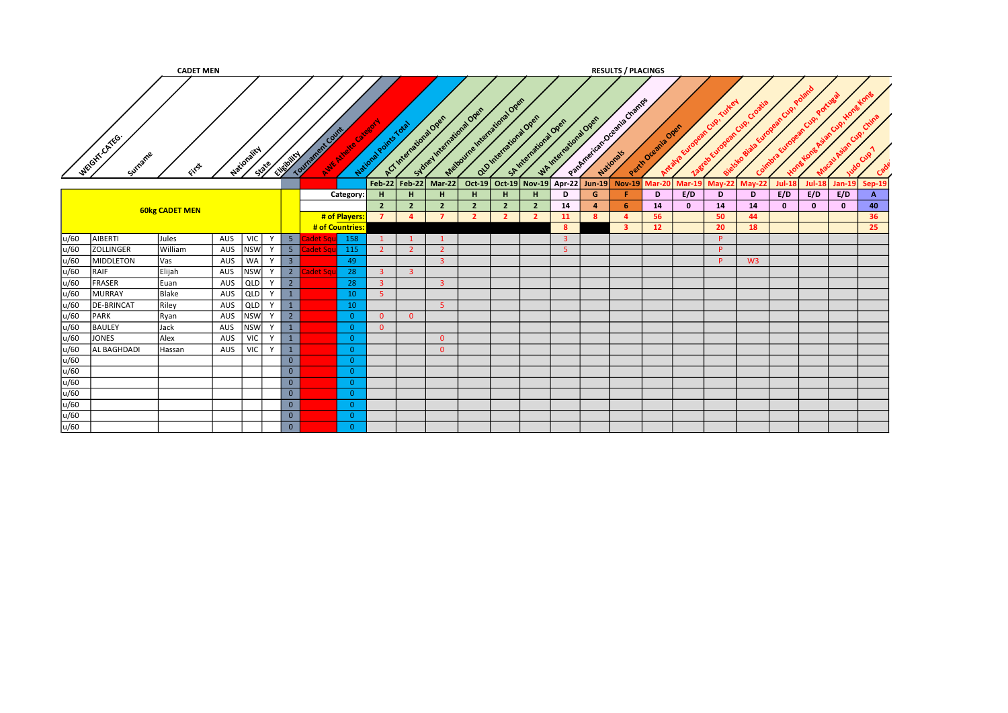|      |                         | <b>CADET MEN</b>      |     |                      |              |                |                     |                                  |                                  |                                  |                           |                                  |                                  |                                                 |                |                        | <b>RESULTS / PLACINGS</b> |                    |               |          |                |               |               |               |          |
|------|-------------------------|-----------------------|-----|----------------------|--------------|----------------|---------------------|----------------------------------|----------------------------------|----------------------------------|---------------------------|----------------------------------|----------------------------------|-------------------------------------------------|----------------|------------------------|---------------------------|--------------------|---------------|----------|----------------|---------------|---------------|---------------|----------|
|      | WEGHT.CATEG.<br>Surname | GIFST                 |     | Nationality<br>State | Elizabetical |                | nt Count<br>Tournam | Avic Aireire                     | National Points Total            | ACT International Open           | Sydney International Open | Matourne International Over      |                                  | Old International Open<br>SA International Open |                | WAINTENT OFFICIAL OPEN | Partmentant Oceania Champ | Perih Oremile Open |               | Cuo.     |                |               |               |               |          |
|      |                         |                       |     |                      |              |                |                     |                                  |                                  |                                  | Feb-22 Feb-22 Mar-22      |                                  |                                  | Oct-19 Oct-19 Nov-19 Apr-22 Jun-19              |                |                        | <b>Nov-19</b>             | <b>Mar-201</b>     | <b>Mar-19</b> | $May-22$ | <b>May-22</b>  | <b>Jul-18</b> | <b>Jul-18</b> | <b>Jan-19</b> | Sep-19   |
|      |                         |                       |     |                      |              |                |                     | Category:                        | H                                | H                                | H                         | H.                               | H.                               | H                                               | D              | G                      |                           | D                  | E/D           | D        | D              | E/D           | E/D           | E/D           | А        |
|      |                         | <b>60kg CADET MEN</b> |     |                      |              |                |                     |                                  | 2 <sup>2</sup><br>$\overline{7}$ | $\overline{2}$<br>$\overline{a}$ | $\overline{2}$<br>7       | $\overline{2}$<br>$\overline{2}$ | $\overline{2}$<br>$\overline{2}$ | $\overline{2}$                                  | 14             | $\overline{a}$<br>-8   | -6<br>-4                  | 14<br>56           | $\mathbf{0}$  | 14<br>50 | 14<br>44       | $\mathbf{0}$  | $\mathbf{0}$  | $\mathbf{0}$  | 40<br>36 |
|      |                         |                       |     |                      |              |                |                     | # of Players:<br># of Countries: |                                  |                                  |                           |                                  |                                  | $\overline{2}$                                  | 11<br>-8       |                        | 3                         | 12 <sup>7</sup>    |               | 20       | 18             |               |               |               | 25       |
| u/60 | AIBERTI                 | Jules                 | AUS | <b>VIC</b>           |              | 5 <sup>2</sup> |                     | 158                              |                                  |                                  |                           |                                  |                                  |                                                 | $\overline{3}$ |                        |                           |                    |               | P        |                |               |               |               |          |
| u/60 | <b>ZOLLINGER</b>        | William               | AUS | <b>NSW</b>           |              | 5 <sub>1</sub> | det Sq              | 115                              |                                  | $\overline{2}$                   | $\overline{2}$            |                                  |                                  |                                                 | $\overline{5}$ |                        |                           |                    |               | P.       |                |               |               |               |          |
| u/60 | MIDDLETON               | <b>Vas</b>            | AUS | <b>WA</b>            |              | $\overline{3}$ |                     | 49                               |                                  |                                  | $\overline{\mathbf{3}}$   |                                  |                                  |                                                 |                |                        |                           |                    |               | P.       | W <sub>3</sub> |               |               |               |          |
| u/60 | RAIF                    | Elijah                | AUS | <b>NSW</b>           |              | $2^{\circ}$    | det Sqi             | 28                               | 3                                | $\overline{3}$                   |                           |                                  |                                  |                                                 |                |                        |                           |                    |               |          |                |               |               |               |          |
| u/60 | FRASER                  | Euan                  | AUS | QLD                  |              | $2^{\circ}$    |                     | 28                               | $\overline{3}$                   |                                  | $\overline{\mathbf{3}}$   |                                  |                                  |                                                 |                |                        |                           |                    |               |          |                |               |               |               |          |
| u/60 | MURRAY                  | Blake                 | AUS | <b>QLD</b>           |              | $\mathbf{1}$   |                     | 10                               | -51                              |                                  |                           |                                  |                                  |                                                 |                |                        |                           |                    |               |          |                |               |               |               |          |
| u/60 | <b>DE-BRINCAT</b>       | Riley                 | AUS | QLD                  |              | $\overline{1}$ |                     | 10                               |                                  |                                  | 5 <sup>°</sup>            |                                  |                                  |                                                 |                |                        |                           |                    |               |          |                |               |               |               |          |
| u/60 | PARK                    | Ryan                  | AUS | <b>NSW</b>           |              | $\overline{2}$ |                     | $\overline{0}$                   | $\overline{0}$                   | $\overline{0}$                   |                           |                                  |                                  |                                                 |                |                        |                           |                    |               |          |                |               |               |               |          |
| u/60 | <b>BAULEY</b>           | Jack                  | AUS | <b>NSW</b>           |              | $\overline{1}$ |                     | $\overline{0}$                   | $\overline{0}$                   |                                  |                           |                                  |                                  |                                                 |                |                        |                           |                    |               |          |                |               |               |               |          |
| u/60 | JONES                   | Alex                  | AUS | <b>VIC</b>           | $\mathsf{v}$ | $\overline{1}$ |                     | $\Omega$                         |                                  |                                  | $\overline{0}$            |                                  |                                  |                                                 |                |                        |                           |                    |               |          |                |               |               |               |          |
| u/60 | AL BAGHDADI             | Hassan                | AUS | <b>VIC</b>           | Y            | $\overline{1}$ |                     | $\overline{0}$                   |                                  |                                  | $\overline{0}$            |                                  |                                  |                                                 |                |                        |                           |                    |               |          |                |               |               |               |          |
| u/60 |                         |                       |     |                      |              | $\mathbf{0}$   |                     | $\Omega$                         |                                  |                                  |                           |                                  |                                  |                                                 |                |                        |                           |                    |               |          |                |               |               |               |          |
| u/60 |                         |                       |     |                      |              | $\mathbf{0}$   |                     | $\overline{0}$                   |                                  |                                  |                           |                                  |                                  |                                                 |                |                        |                           |                    |               |          |                |               |               |               |          |
| u/60 |                         |                       |     |                      |              | $\overline{0}$ |                     | $\Omega$                         |                                  |                                  |                           |                                  |                                  |                                                 |                |                        |                           |                    |               |          |                |               |               |               |          |
| u/60 |                         |                       |     |                      |              | $\overline{0}$ |                     | $\Omega$                         |                                  |                                  |                           |                                  |                                  |                                                 |                |                        |                           |                    |               |          |                |               |               |               |          |
| u/60 |                         |                       |     |                      |              | $\overline{0}$ |                     | $\Omega$                         |                                  |                                  |                           |                                  |                                  |                                                 |                |                        |                           |                    |               |          |                |               |               |               |          |
| u/60 |                         |                       |     |                      |              | $\overline{0}$ |                     | $\Omega$                         |                                  |                                  |                           |                                  |                                  |                                                 |                |                        |                           |                    |               |          |                |               |               |               |          |
| u/60 |                         |                       |     |                      |              | $\overline{0}$ |                     | $\Omega$                         |                                  |                                  |                           |                                  |                                  |                                                 |                |                        |                           |                    |               |          |                |               |               |               |          |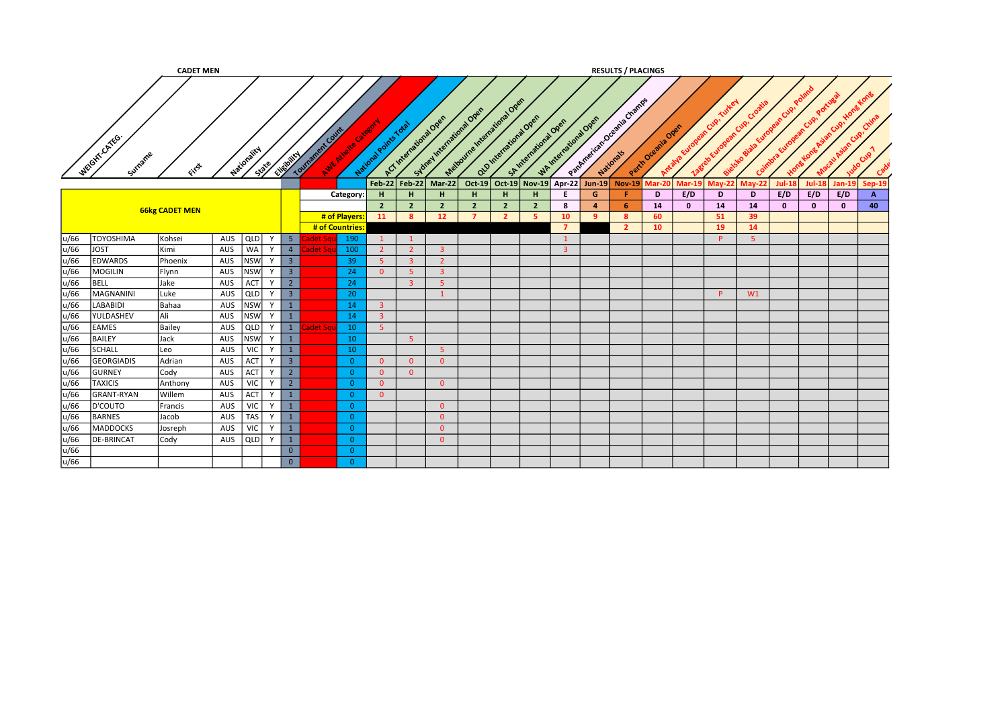|              |                               | <b>CADET MEN</b>      |            |                         |              |                         |        |                            |                |                       |                                  |                                  |                            |                |                                                 |                        |                                    |                | <b>RESULTS / PLACINGS</b> |          |          |          |              |              |              |               |
|--------------|-------------------------------|-----------------------|------------|-------------------------|--------------|-------------------------|--------|----------------------------|----------------|-----------------------|----------------------------------|----------------------------------|----------------------------|----------------|-------------------------------------------------|------------------------|------------------------------------|----------------|---------------------------|----------|----------|----------|--------------|--------------|--------------|---------------|
|              | WEIGHT-CATEG.<br>Surname      | GYS                   |            | Nationality             | Spile        | Elisophic               | Tourna | o.frk Count<br>Avic Michel |                | National Points Total | ACT International Over           | Subrel International Open        | Mationne Indicational Open |                | Old International Open<br>SA International Open | WAINTENT OFFICIAL OPEN | Partner identity of Deeping Change |                | Perth Oceania Ones        | Antalva  | Cup      |          |              |              |              |               |
|              |                               |                       |            |                         |              |                         |        |                            |                | $Feb-22$              | <b>Feb-22</b>                    | $Mar-22$                         | Oct-19                     | <b>Oct-19</b>  | <b>Nov-19</b>                                   | Apr-22                 | <b>Jun-19</b>                      | $Nov-19$       | <b>Mar-20</b>             | Mar-19   | $May-22$ | $May-22$ | Jul-18       | Jul-18       | Jan-19       | <b>Sep-19</b> |
|              |                               |                       |            |                         |              |                         |        | Category:                  |                | н.                    | н                                | H                                | H                          | н.             | н                                               | Е                      | G                                  |                | D                         | E/D      | D        | D        | E/D          | E/D          | E/D          | $\mathbf{A}$  |
|              |                               | <b>66kg CADET MEN</b> |            |                         |              |                         |        |                            |                | $\overline{2}$        | 2 <sup>2</sup>                   | $\overline{2}$                   | $\overline{2}$             | $\overline{2}$ | $\overline{2}$                                  | 8                      | $\mathbf{a}$                       | -6             | 14                        | $\bf{0}$ | 14       | 14       | $\mathbf{0}$ | $\mathbf{0}$ | $\mathbf{0}$ | 40            |
|              |                               |                       |            |                         |              |                         |        | # of Players:              |                | 11                    | 8                                | 12 <sup>2</sup>                  | $\overline{7}$             | $\overline{2}$ |                                                 | 10                     | <b>q</b>                           | -8             | 60                        |          | 51       | 39       |              |              |              |               |
|              |                               |                       |            |                         | $\mathsf{v}$ |                         |        | # of Countries:            |                |                       |                                  |                                  |                            |                |                                                 |                        |                                    | $\overline{2}$ | 10 <sup>°</sup>           |          | 19       | 14       |              |              |              |               |
| u/66<br>u/66 | <b>TOYOSHIMA</b>              | Kohsei                | AUS        | QLD                     |              | 5 <sub>1</sub>          |        |                            | 190            |                       |                                  |                                  |                            |                |                                                 |                        |                                    |                |                           |          | P        | -5       |              |              |              |               |
| u/66         | <b>JOST</b><br><b>EDWARDS</b> | Kimi<br>Phoenix       | AUS<br>AUS | <b>WA</b><br><b>NSW</b> | Y            | 4<br>3 <sup>7</sup>     | det Sq |                            | 100<br>39      | $\overline{2}$<br>-5  | 2 <sup>1</sup><br>$\overline{3}$ | $\overline{3}$<br>$\overline{2}$ |                            |                |                                                 |                        |                                    |                |                           |          |          |          |              |              |              |               |
| u/66         | <b>MOGILIN</b>                | Flynn                 | AUS        | <b>NSW</b>              | Y            | $\overline{\mathbf{3}}$ |        |                            | 24             | $\Omega$              | 5 <sup>1</sup>                   | $\overline{\mathbf{3}}$          |                            |                |                                                 |                        |                                    |                |                           |          |          |          |              |              |              |               |
| u/66         | BELL                          | Jake                  | AUS        | ACT                     | <b>V</b>     | $2^{\circ}$             |        |                            | 24             |                       | $\overline{3}$                   | 5 <sup>1</sup>                   |                            |                |                                                 |                        |                                    |                |                           |          |          |          |              |              |              |               |
| u/66         | MAGNANINI                     | Luke                  | AUS        | QLD                     | Y            | 3 <sup>7</sup>          |        |                            | 20             |                       |                                  | $\mathbf{1}$                     |                            |                |                                                 |                        |                                    |                |                           |          | P.       | W1       |              |              |              |               |
| u/66         | <b>LABABIDI</b>               | Bahaa                 | AUS        | <b>NSW</b>              | Y            | 1                       |        |                            | 14             | 3 <sup>2</sup>        |                                  |                                  |                            |                |                                                 |                        |                                    |                |                           |          |          |          |              |              |              |               |
| u/66         | YULDASHEV                     | lAli                  | AUS        | <b>NSW</b>              | <b>V</b>     | 1                       |        |                            | 14             | $\overline{3}$        |                                  |                                  |                            |                |                                                 |                        |                                    |                |                           |          |          |          |              |              |              |               |
| u/66         | <b>EAMES</b>                  | Bailey                | AUS        | QLD                     | Y            | 1                       | let Sq |                            | 10             | -5.                   |                                  |                                  |                            |                |                                                 |                        |                                    |                |                           |          |          |          |              |              |              |               |
| u/66         | <b>BAILEY</b>                 | Jack                  | AUS        | <b>NSW</b>              |              | $\mathbf{1}$            |        |                            | 10             |                       | 5 <sup>°</sup>                   |                                  |                            |                |                                                 |                        |                                    |                |                           |          |          |          |              |              |              |               |
| u/66         | SCHALL                        | Leo                   | AUS        | <b>VIC</b>              | $\mathsf{v}$ | $\mathbf{1}$            |        |                            | 10             |                       |                                  | 5                                |                            |                |                                                 |                        |                                    |                |                           |          |          |          |              |              |              |               |
| u/66         | <b>GEORGIADIS</b>             | Adrian                | AUS        | ACT                     | $\mathbf v$  | $\overline{3}$          |        |                            | $\overline{0}$ | $\overline{0}$        | $\overline{0}$                   | $\overline{0}$                   |                            |                |                                                 |                        |                                    |                |                           |          |          |          |              |              |              |               |
| u/66         | <b>GURNEY</b>                 | Cody                  | AUS        | ACT                     | Y            | $\overline{2}$          |        |                            | $\Omega$       | $\overline{0}$        | $\overline{0}$                   |                                  |                            |                |                                                 |                        |                                    |                |                           |          |          |          |              |              |              |               |
| u/66         | <b>TAXICIS</b>                | Anthony               | AUS        | <b>VIC</b>              | Y            | $\overline{2}$          |        |                            | $\Omega$       | $\overline{0}$        |                                  | $\overline{0}$                   |                            |                |                                                 |                        |                                    |                |                           |          |          |          |              |              |              |               |
| u/66         | <b>GRANT-RYAN</b>             | <b>Willem</b>         | AUS        | ACT                     | Y            | 1                       |        |                            | $\overline{0}$ | $\Omega$              |                                  |                                  |                            |                |                                                 |                        |                                    |                |                           |          |          |          |              |              |              |               |
| u/66         | D'COUTO                       | Francis               | AUS        | <b>VIC</b>              | Y            | $\mathbf{1}$            |        |                            | $\Omega$       |                       |                                  | $\overline{0}$                   |                            |                |                                                 |                        |                                    |                |                           |          |          |          |              |              |              |               |
| u/66         | <b>BARNES</b>                 | Jacob                 | AUS        | <b>TAS</b>              | Y            | $\mathbf{1}$            |        |                            | $\overline{0}$ |                       |                                  | $\overline{0}$                   |                            |                |                                                 |                        |                                    |                |                           |          |          |          |              |              |              |               |
| u/66         | MADDOCKS                      | Josreph               | AUS        | VIC                     | Y            | $\mathbf{1}$            |        |                            | $\Omega$       |                       |                                  | $\overline{0}$                   |                            |                |                                                 |                        |                                    |                |                           |          |          |          |              |              |              |               |
| u/66         | <b>DE-BRINCAT</b>             | Cody                  | AUS        | QLD                     | Y            | $\mathbf{1}$            |        |                            | $\overline{0}$ |                       |                                  | $\overline{0}$                   |                            |                |                                                 |                        |                                    |                |                           |          |          |          |              |              |              |               |
| u/66         |                               |                       |            |                         |              | $\overline{0}$          |        |                            | $\Omega$       |                       |                                  |                                  |                            |                |                                                 |                        |                                    |                |                           |          |          |          |              |              |              |               |
| u/66         |                               |                       |            |                         |              | $\overline{0}$          |        |                            | $\Omega$       |                       |                                  |                                  |                            |                |                                                 |                        |                                    |                |                           |          |          |          |              |              |              |               |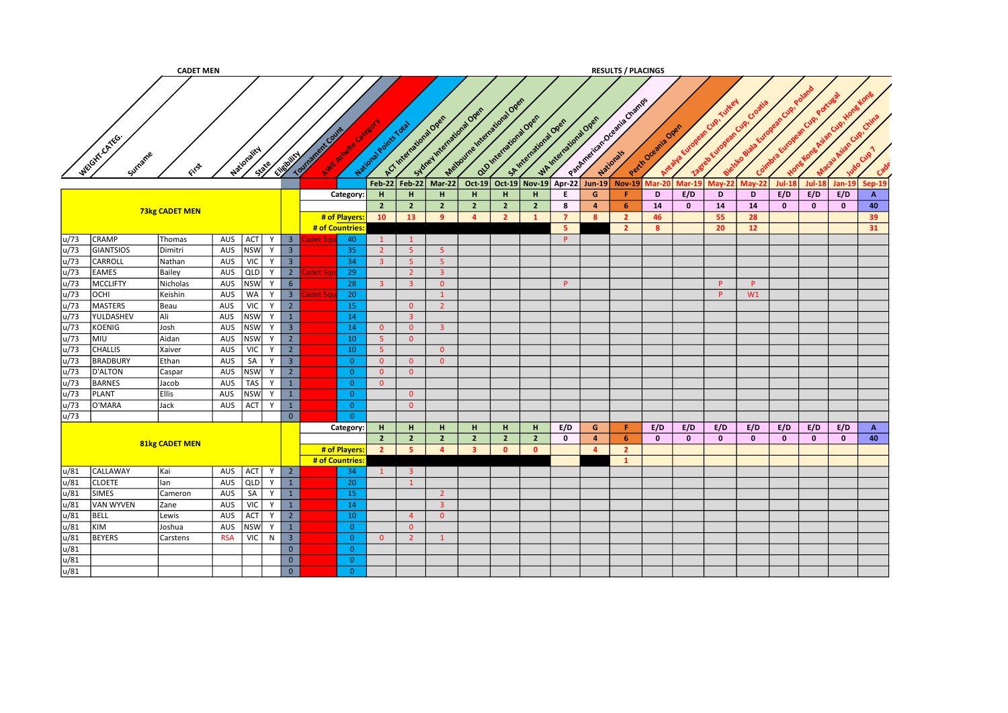|      |                        | <b>CADET MEN</b>      |            |             |        |                         |                                       |                       |                         |                                                     |                             |                      |                       |                  |                | <b>RESULTS / PLACINGS</b>                 |                   |               |              |               |              |               |               |              |
|------|------------------------|-----------------------|------------|-------------|--------|-------------------------|---------------------------------------|-----------------------|-------------------------|-----------------------------------------------------|-----------------------------|----------------------|-----------------------|------------------|----------------|-------------------------------------------|-------------------|---------------|--------------|---------------|--------------|---------------|---------------|--------------|
|      |                        |                       |            |             |        |                         |                                       | National Points Total |                         | Sidney International Over<br>ACT International Open | Matourne Article and One of | alamentaratoral open | SA International Open | Whitenstons Open |                | Partner (2016) Greening Channels          |                   |               | Cup!         | Cup.          |              |               | Ó             | ଙ            |
|      | WEGITTCATEG<br>Surname | File                  |            | Mationality | State/ | Elistoire               | Tourisment Cutting<br>Ave Avale Citat |                       |                         |                                                     |                             |                      |                       |                  |                |                                           | Perih Oremia Oren | Antalya Euro  | agree Europe | ielsko Bie    | Coimbra      |               |               | Cup          |
|      |                        |                       |            |             |        |                         |                                       | <b>Feb-22</b>         | $Feb-22$                | Mar-22                                              |                             |                      |                       |                  |                | Oct-19 Oct-19 Nov-19 Apr-22 Jun-19 Nov-19 | Mar-20            | <b>Mar-19</b> | $M$ ay-22    | <b>May-22</b> | $Jul-18$     | <b>Jul-18</b> | <b>Jan-19</b> | $Sep-19$     |
|      |                        |                       |            |             |        |                         | Category:                             | H                     | H                       | H                                                   | H                           | H                    | н                     | E.               | G              | Æ.                                        | D                 | E/D           | D            | D             | E/D          | E/D           | E/D           | $\mathbf{A}$ |
|      |                        | <b>73kg CADET MEN</b> |            |             |        |                         |                                       | $2^{\circ}$           | $\overline{2}$          | $\overline{2}$                                      | $\overline{2}$              | $\overline{2}$       | $\overline{2}$        | 8                | $\overline{a}$ | -6                                        | 14                | $\mathbf{0}$  | 14           | 14            | $\mathbf{0}$ | $\mathbf{0}$  | $\mathbf{0}$  | 40           |
|      |                        |                       |            |             |        |                         | # of Players:                         | 10                    | 13                      | -9                                                  | $\overline{4}$              | $\overline{2}$       |                       | $\overline{7}$   | 8              | $\overline{2}$                            | 46                |               | 55           | 28            |              |               |               | 39           |
|      |                        |                       |            |             |        |                         | # of Countries                        |                       |                         |                                                     |                             |                      |                       | 5                |                | $\overline{2}$                            | 8                 |               | 20           | 12            |              |               |               | 31           |
| u/73 | <b>CRAMP</b>           | Thomas                | AUS ACT    |             | Y      | 3 <sup>1</sup>          | 40<br>adet Sq                         | $\mathbf{1}$          | $\mathbf{1}$            |                                                     |                             |                      |                       | P                |                |                                           |                   |               |              |               |              |               |               |              |
| u/73 | <b>GIANTSIOS</b>       | Dimitri               | AUS        | <b>NSW</b>  | Y      | $\overline{\mathbf{3}}$ | 35                                    | $2^{\circ}$           | 5 <sub>1</sub>          | 5 <sup>°</sup>                                      |                             |                      |                       |                  |                |                                           |                   |               |              |               |              |               |               |              |
| u/73 | CARROLL                | Nathan                | AUS        | <b>VIC</b>  | Y      | $\overline{\mathbf{3}}$ | 34                                    | $\overline{3}$        | 5 <sub>o</sub>          | 5 <sub>1</sub>                                      |                             |                      |                       |                  |                |                                           |                   |               |              |               |              |               |               |              |
| u/73 | <b>EAMES</b>           | Bailey                | AUS        | <b>QLD</b>  | Y      | $\overline{2}$          | 29                                    |                       | $\overline{2}$          | 3 <sup>1</sup>                                      |                             |                      |                       |                  |                |                                           |                   |               |              |               |              |               |               |              |
| u/73 | <b>MCCLIFTY</b>        | Nicholas              | AUS        | <b>NSW</b>  | Y      | $6\overline{6}$         | 28                                    | 3 <sup>1</sup>        | $\overline{\mathbf{3}}$ | $\overline{0}$                                      |                             |                      |                       | <b>P</b>         |                |                                           |                   |               | P.           | $\mathsf{P}$  |              |               |               |              |
| u/73 | <b>OCHI</b>            | Keishin               | AUS        | <b>WA</b>   | Y      | 3 <sup>7</sup>          | 20<br>et Sq                           |                       |                         | $\mathbf{1}$                                        |                             |                      |                       |                  |                |                                           |                   |               | P.           | W1            |              |               |               |              |
| u/73 | <b>MASTERS</b>         | Beau                  | AUS        | <b>VIC</b>  | Y      | $\overline{2}$          | 15                                    |                       | $\overline{0}$          | $\overline{2}$                                      |                             |                      |                       |                  |                |                                           |                   |               |              |               |              |               |               |              |
| u/73 | YULDASHEV              | Ali                   | AUS        | <b>NSW</b>  | Y      | $\mathbf{1}$            | 14                                    |                       | $\overline{3}$          |                                                     |                             |                      |                       |                  |                |                                           |                   |               |              |               |              |               |               |              |
| u/73 | KOENIG                 | Josh                  | AUS        | <b>NSW</b>  | Y      | 3 <sup>1</sup>          | 14                                    | $\overline{0}$        | $\overline{0}$          | 3 <sup>1</sup>                                      |                             |                      |                       |                  |                |                                           |                   |               |              |               |              |               |               |              |
| u/73 | MIU                    | Aidan                 | AUS        | <b>NSW</b>  | Y      | $\overline{2}$          | 10                                    | 5 <sup>2</sup>        | $\overline{0}$          |                                                     |                             |                      |                       |                  |                |                                           |                   |               |              |               |              |               |               |              |
| u/73 | <b>CHALLIS</b>         | Xaiver                | AUS        | <b>VIC</b>  | Y      | $\overline{2}$          | 10                                    | 5 <sub>1</sub>        |                         | $\overline{0}$                                      |                             |                      |                       |                  |                |                                           |                   |               |              |               |              |               |               |              |
| u/73 | <b>BRADBURY</b>        | Ethan                 | AUS        | SA          | Y      | $\overline{\mathbf{3}}$ | $\overline{0}$                        | $\overline{0}$        | $\overline{0}$          | $\overline{0}$                                      |                             |                      |                       |                  |                |                                           |                   |               |              |               |              |               |               |              |
| u/73 | D'ALTON                | Caspar                | AUS        | <b>NSW</b>  | Y      | $\overline{2}$          | $\overline{0}$                        | $\overline{0}$        | $\overline{0}$          |                                                     |                             |                      |                       |                  |                |                                           |                   |               |              |               |              |               |               |              |
| u/73 | <b>BARNES</b>          | Jacob                 | AUS        | <b>TAS</b>  | Y      | $\mathbf{1}$            | $\overline{0}$                        | $\overline{0}$        |                         |                                                     |                             |                      |                       |                  |                |                                           |                   |               |              |               |              |               |               |              |
| u/73 | <b>PLANT</b>           | <b>Ellis</b>          | AUS        | <b>NSW</b>  | Y      | $\mathbf{1}$            | $\overline{0}$                        |                       | $\overline{0}$          |                                                     |                             |                      |                       |                  |                |                                           |                   |               |              |               |              |               |               |              |
| u/73 | O'MARA                 | Jack                  | AUS        | ACT         | Y      | $\mathbf{1}$            | $\overline{0}$                        |                       | $\overline{0}$          |                                                     |                             |                      |                       |                  |                |                                           |                   |               |              |               |              |               |               |              |
| u/73 |                        |                       |            |             |        | $\overline{0}$          | $\overline{0}$                        |                       |                         |                                                     |                             |                      |                       |                  |                |                                           |                   |               |              |               |              |               |               |              |
|      |                        |                       |            |             |        |                         | Category:                             | H                     | H.                      | H.                                                  | H.                          | H.                   | H.                    | E/D              | G              | - F -                                     | E/D               | E/D           | E/D          | E/D           | E/D          | E/D           | E/D           | $\mathbf{A}$ |
|      |                        | 81kg CADET MEN        |            |             |        |                         |                                       | 2 <sup>7</sup>        | $\overline{2}$          | $\overline{2}$                                      | $\overline{2}$              | $\overline{2}$       | $\overline{2}$        | $\mathbf 0$      | $\overline{4}$ | -6                                        | $\mathbf{0}$      | $\mathbf{0}$  | $\mathbf{0}$ | $\mathbf{0}$  | $\mathbf{0}$ | $\mathbf{0}$  | $\mathbf 0$   | 40           |
|      |                        |                       |            |             |        |                         | # of Players:                         | 2 <sup>2</sup>        | -5                      | $\overline{a}$                                      | $\overline{\mathbf{3}}$     | $\mathbf{0}$         | $\mathbf{0}$          |                  | $\overline{4}$ | $\overline{2}$                            |                   |               |              |               |              |               |               |              |
|      |                        |                       |            |             |        |                         | # of Countries                        |                       |                         |                                                     |                             |                      |                       |                  |                | $\mathbf{1}$                              |                   |               |              |               |              |               |               |              |
| u/81 | CALLAWAY               | Kai                   | AUS ACT    |             | Y      | $\overline{2}$          | 34                                    | $\mathbf{1}$          | $\overline{\mathbf{3}}$ |                                                     |                             |                      |                       |                  |                |                                           |                   |               |              |               |              |               |               |              |
| u/81 | <b>CLOETE</b>          | lan                   | AUS        | <b>QLD</b>  | Y      | $1\,$                   | 20                                    |                       | $\mathbf{1}$            |                                                     |                             |                      |                       |                  |                |                                           |                   |               |              |               |              |               |               |              |
| u/81 | <b>SIMES</b>           | Cameron               | AUS        | SA          |        | $\mathbf{1}$            | 15                                    |                       |                         | $\overline{2}$                                      |                             |                      |                       |                  |                |                                           |                   |               |              |               |              |               |               |              |
| u/81 | <b>VAN WYVEN</b>       | Zane                  | AUS        | <b>VIC</b>  | Y      | $\mathbf{1}$            | 14                                    |                       |                         | 3 <sup>2</sup>                                      |                             |                      |                       |                  |                |                                           |                   |               |              |               |              |               |               |              |
| u/81 | <b>BELL</b>            | Lewis                 | AUS        | ACT         | Y      | $\overline{2}$          | 10                                    |                       | $\overline{4}$          | $\overline{0}$                                      |                             |                      |                       |                  |                |                                           |                   |               |              |               |              |               |               |              |
| u/81 | KIM                    | Joshua                | AUS        | <b>NSW</b>  | Y      | $1\,$                   | $\overline{0}$                        |                       | $\overline{0}$          |                                                     |                             |                      |                       |                  |                |                                           |                   |               |              |               |              |               |               |              |
| u/81 | <b>BEYERS</b>          | <b>Carstens</b>       | <b>RSA</b> | VIC         | N      | $\overline{\mathbf{3}}$ | $\overline{0}$                        | $\overline{0}$        | $\overline{2}$          | $\mathbf{1}$                                        |                             |                      |                       |                  |                |                                           |                   |               |              |               |              |               |               |              |
| u/81 |                        |                       |            |             |        | $\overline{0}$          | $\overline{0}$                        |                       |                         |                                                     |                             |                      |                       |                  |                |                                           |                   |               |              |               |              |               |               |              |
| u/81 |                        |                       |            |             |        | $\overline{0}$          | $\overline{0}$                        |                       |                         |                                                     |                             |                      |                       |                  |                |                                           |                   |               |              |               |              |               |               |              |
| u/81 |                        |                       |            |             |        | $\overline{0}$          | $\overline{0}$                        |                       |                         |                                                     |                             |                      |                       |                  |                |                                           |                   |               |              |               |              |               |               |              |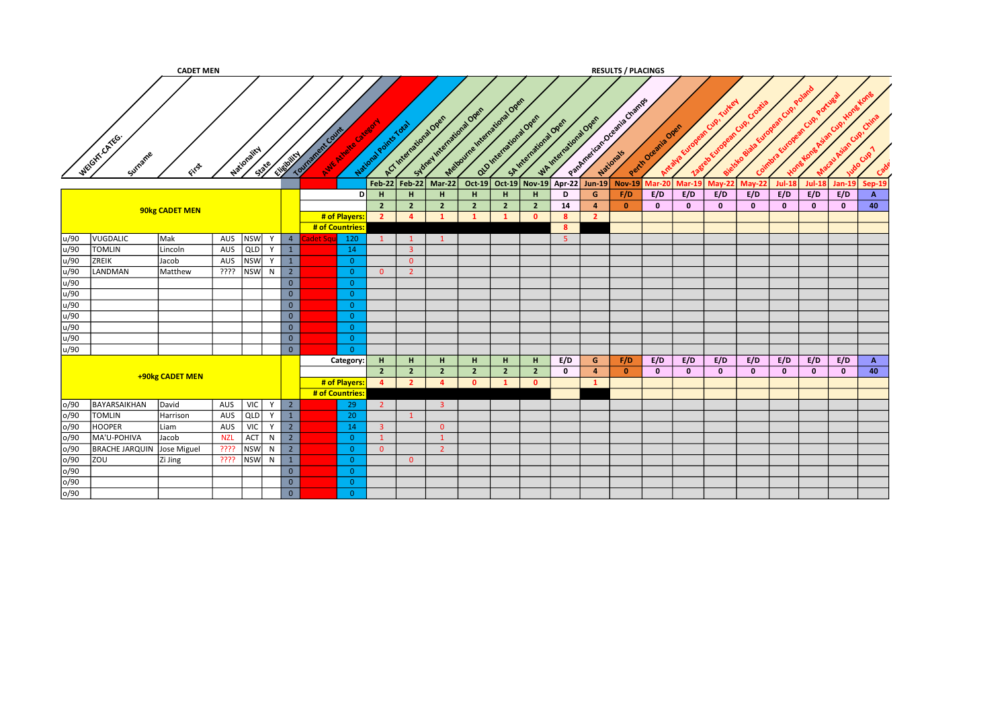|      |                            | <b>CADET MEN</b> |            |                      |                         |                  |                    |                       |                        |                         |                                                 |                        |                         |                       |                  | <b>RESULTS / PLACINGS</b>     |                   |                |                           |                           |                |              |              |              |
|------|----------------------------|------------------|------------|----------------------|-------------------------|------------------|--------------------|-----------------------|------------------------|-------------------------|-------------------------------------------------|------------------------|-------------------------|-----------------------|------------------|-------------------------------|-------------------|----------------|---------------------------|---------------------------|----------------|--------------|--------------|--------------|
|      | WEGIT CATEG.<br>Surrame    | ENST             |            | Mationality<br>State | Elizabetical            | Tourisment Court | Aure Mivele Citate | National Points Total | ACT International Open |                         | Mationine Indicate Open<br>Subset Meetaway Over | Q10 International Open |                         | SA International Open | WAINTENDENT OPEN | Patement of Check of Check of | Perih Oremia Over | Antalya Europe | ean Cup.<br>38tele Europe | Cro<br>n Cup!<br>Coimbra. | n Cup.<br>wone |              |              |              |
|      |                            |                  |            |                      |                         |                  |                    | $Feb-22$              | Feb-22                 | $Mar-22$                | $Oct-19$                                        |                        | Oct-19 Nov-19           |                       | Apr-22 Jun-19    | <b>Nov-19</b>                 | Aar-20            | Mar-19         | $May-22$                  | $May-22$                  | <b>Jul-18</b>  | $Jul-18$     | $Jan-19$     | Sep-19       |
|      |                            |                  |            |                      |                         |                  |                    | н<br>DI               | H                      | H                       | H                                               | н                      | н                       | D                     | G                | F/D                           | E/D               | E/D            | E/D                       | E/D                       | E/D            | E/D          | E/D          | A            |
|      |                            |                  |            |                      |                         |                  |                    | $\overline{2}$        | $\overline{2}$         | $\overline{2}$          | $\overline{2}$                                  | $\overline{2}$         | $\overline{2}$          | 14                    | $\overline{4}$   | $\mathbf{0}$                  | $\mathbf{0}$      | $\mathbf{0}$   | $\mathbf{0}$              | $\mathbf{0}$              | $\mathbf{0}$   | $\mathbf{0}$ | $\mathbf 0$  | 40           |
|      |                            | 90kg CADET MEN   |            |                      |                         |                  | # of Players:      | $\overline{2}$        | $\overline{a}$         | $\mathbf{1}$            | $\overline{1}$                                  | $\mathbf{1}$           | $\mathbf{0}$            | $\boldsymbol{8}$      | $\overline{2}$   |                               |                   |                |                           |                           |                |              |              |              |
|      |                            |                  |            |                      |                         |                  | # of Countries     |                       |                        |                         |                                                 |                        |                         | 8                     |                  |                               |                   |                |                           |                           |                |              |              |              |
| u/90 | VUGDALIC                   | Mak              | AUS        | <b>NSW</b><br>Y      | $\overline{4}$          | det Sa           | 120                | $\mathbf{1}$          | $\mathbf{1}$           | $\mathbf{1}$            |                                                 |                        |                         | 5 <sup>1</sup>        |                  |                               |                   |                |                           |                           |                |              |              |              |
| u/90 | <b>TOMLIN</b>              | Lincoln          | AUS        | QLD<br>Y             | $\mathbf{1}$            |                  | 14                 |                       | $\overline{3}$         |                         |                                                 |                        |                         |                       |                  |                               |                   |                |                           |                           |                |              |              |              |
| u/90 | ZREIK                      | Jacob            | AUS        | <b>NSW</b><br>Y      | $\mathbf{1}$            |                  | $\overline{0}$     |                       | $\overline{0}$         |                         |                                                 |                        |                         |                       |                  |                               |                   |                |                           |                           |                |              |              |              |
| u/90 | LANDMAN                    | Matthew          | ????       | <b>NSW</b><br>N      | $\overline{2}$          |                  | $\overline{0}$     | $\overline{0}$        | $\overline{2}$         |                         |                                                 |                        |                         |                       |                  |                               |                   |                |                           |                           |                |              |              |              |
| u/90 |                            |                  |            |                      | $\overline{0}$          |                  | $\overline{0}$     |                       |                        |                         |                                                 |                        |                         |                       |                  |                               |                   |                |                           |                           |                |              |              |              |
| u/90 |                            |                  |            |                      | $\overline{0}$          |                  | $\Omega$           |                       |                        |                         |                                                 |                        |                         |                       |                  |                               |                   |                |                           |                           |                |              |              |              |
| u/90 |                            |                  |            |                      | $\overline{0}$          |                  | $\overline{0}$     |                       |                        |                         |                                                 |                        |                         |                       |                  |                               |                   |                |                           |                           |                |              |              |              |
| u/90 |                            |                  |            |                      | $\overline{0}$          |                  | $\overline{0}$     |                       |                        |                         |                                                 |                        |                         |                       |                  |                               |                   |                |                           |                           |                |              |              |              |
| u/90 |                            |                  |            |                      | $\overline{0}$          |                  | $\overline{0}$     |                       |                        |                         |                                                 |                        |                         |                       |                  |                               |                   |                |                           |                           |                |              |              |              |
| u/90 |                            |                  |            |                      | $\overline{0}$          |                  | $\overline{0}$     |                       |                        |                         |                                                 |                        |                         |                       |                  |                               |                   |                |                           |                           |                |              |              |              |
| u/90 |                            |                  |            |                      | $\overline{0}$          |                  | $\overline{0}$     |                       |                        |                         |                                                 |                        |                         |                       |                  |                               |                   |                |                           |                           |                |              |              |              |
|      |                            |                  |            |                      |                         |                  | Category:          | H                     | H                      | H                       | H.                                              | H                      | H.                      | E/D                   | G                | F/D                           | E/D               | E/D            | E/D                       | E/D                       | E/D            | E/D          | E/D          | $\mathbf{A}$ |
|      |                            | +90kg CADET MEN  |            |                      |                         |                  |                    | 2 <sup>7</sup>        | $\overline{2}$         | $\overline{2}$          | $\overline{2}$                                  | $\overline{2}$         | $\overline{2}$          | $\mathbf 0$           | $\overline{a}$   | $\bullet$                     | $\mathbf{0}$      | $\mathbf{0}$   | $\mathbf{0}$              | $\mathbf{0}$              | $\mathbf{0}$   | $\mathbf{0}$ | $\mathbf{0}$ | 40           |
|      |                            |                  |            |                      |                         |                  | # of Players:      | $\overline{4}$        | $\overline{2}$         | $\overline{a}$          | $\mathbf{0}$                                    |                        | $\overline{\mathbf{0}}$ |                       | $\mathbf{1}$     |                               |                   |                |                           |                           |                |              |              |              |
|      |                            |                  |            |                      |                         |                  | # of Countries:    |                       |                        |                         |                                                 |                        |                         |                       |                  |                               |                   |                |                           |                           |                |              |              |              |
| o/90 | BAYARSAIKHAN               | David            | AUS        | <b>VIC</b><br>Y      | $\overline{2}$          |                  | 29                 | $\overline{2}$        |                        | $\overline{\mathbf{3}}$ |                                                 |                        |                         |                       |                  |                               |                   |                |                           |                           |                |              |              |              |
| o/90 | <b>TOMLIN</b>              | Harrison         | AUS        | QLD<br>Y             | 1                       |                  | 20                 |                       | $\mathbf{1}$           |                         |                                                 |                        |                         |                       |                  |                               |                   |                |                           |                           |                |              |              |              |
| o/90 | <b>HOOPER</b>              | Liam             | AUS        | <b>VIC</b><br>Y      | $\overline{2}$          |                  | 14                 | $\overline{3}$        |                        | $\overline{0}$          |                                                 |                        |                         |                       |                  |                               |                   |                |                           |                           |                |              |              |              |
| o/90 | MA'U-POHIVA                | Jacob            | <b>NZL</b> | ACT<br>N             | $2^{\circ}$             |                  | $\overline{0}$     | $\mathbf{1}$          |                        | $\mathbf{1}$            |                                                 |                        |                         |                       |                  |                               |                   |                |                           |                           |                |              |              |              |
| o/90 | BRACHE JARQUIN Jose Miguel |                  | ????       | <b>NSW</b><br>N      | $2^{\circ}$             |                  | $\overline{0}$     | $\overline{0}$        |                        | $\overline{2}$          |                                                 |                        |                         |                       |                  |                               |                   |                |                           |                           |                |              |              |              |
| o/90 | ZOU                        | Zi Jing          | ????       | <b>NSW</b><br>N      | $\mathbf{1}$            |                  | $\overline{0}$     |                       | $\overline{0}$         |                         |                                                 |                        |                         |                       |                  |                               |                   |                |                           |                           |                |              |              |              |
| o/90 |                            |                  |            |                      | $\mathbf 0$             |                  | $\overline{0}$     |                       |                        |                         |                                                 |                        |                         |                       |                  |                               |                   |                |                           |                           |                |              |              |              |
| o/90 |                            |                  |            |                      | $\overline{\mathbf{0}}$ |                  | $\bullet$          |                       |                        |                         |                                                 |                        |                         |                       |                  |                               |                   |                |                           |                           |                |              |              |              |
| o/90 |                            |                  |            |                      | $\overline{0}$          |                  | $\overline{0}$     |                       |                        |                         |                                                 |                        |                         |                       |                  |                               |                   |                |                           |                           |                |              |              |              |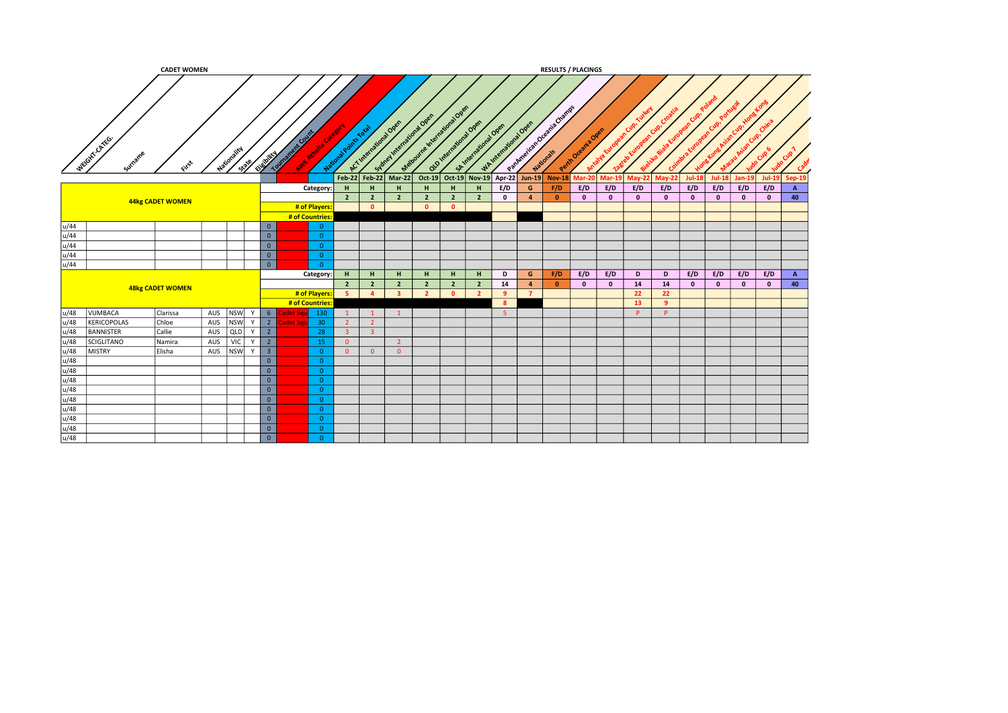|      |                          | <b>CADET WOMEN</b>      |           |            |         |                          |                                            |                         |                |                      |                                  |                         |                        |                             |                    |                | <b>RESULTS / PLACINGS</b>  |                            |              |               |              |              |               |              |              |              |
|------|--------------------------|-------------------------|-----------|------------|---------|--------------------------|--------------------------------------------|-------------------------|----------------|----------------------|----------------------------------|-------------------------|------------------------|-----------------------------|--------------------|----------------|----------------------------|----------------------------|--------------|---------------|--------------|--------------|---------------|--------------|--------------|--------------|
|      | WEIGHT CATEG.<br>Surname |                         | Nation-   |            | State   | Chiefolitan              | A Cour<br><b>TOUTBRAN</b><br><b>UNKARY</b> |                         | National Pu    | ACT Intern<br>$\sim$ | <b>221 Ope</b><br>idney<br>Melbu | QLD Inter               | <b>2010</b><br>SAInter | $a^{108}$                   | WAINBETRAIGNS OPEN |                | Oceania Champ<br>Nationals | <b>Nº 00</b><br>Peth Ocean |              |               |              |              |               |              |              |              |
|      |                          |                         |           |            |         |                          |                                            |                         |                |                      | Feb-22 Feb-22 Mar-22             |                         |                        | Oct-19 Oct-19 Nov-19 Apr-22 |                    |                | Jun-19 Nov-18              | Mar-                       | Mar-         | <b>May-22</b> | $Mav-22$     | $Jul-1$      | <b>Jul-18</b> | Jan-1!       | $Jul-19$     | Sep-19       |
|      |                          |                         |           |            |         |                          |                                            | Category:               | H              | H                    | H                                | H                       | H                      | H                           | E/D                | G              | F/D                        | E/D                        | E/D          | E/D           | E/D          | E/D          | E/D           | E/D          | E/D          | $\mathbf{A}$ |
|      |                          | 44kg CADET WOMEN        |           |            |         |                          |                                            |                         | $\overline{2}$ | $\overline{2}$       | $\overline{2}$                   | $\overline{2}$          | $\overline{2}$         | $\overline{2}$              | $\mathbf{0}$       | $\overline{4}$ | $\mathbf{0}$               | $\bullet$                  | $\mathbf{0}$ | $\mathbf{0}$  | $\mathbf{0}$ | $\mathbf{0}$ | $\mathbf{0}$  | $\mathbf{0}$ | $\mathbf{0}$ | 40           |
|      |                          |                         |           |            |         |                          |                                            | # of Players            |                | $\bullet$            |                                  | $\overline{\mathbf{0}}$ | $\bullet$              |                             |                    |                |                            |                            |              |               |              |              |               |              |              |              |
|      |                          |                         |           |            |         |                          |                                            | # of Countries:         |                |                      |                                  |                         |                        |                             |                    |                |                            |                            |              |               |              |              |               |              |              |              |
| u/44 |                          |                         |           |            |         | $\mathbf 0$              |                                            | $\overline{0}$          |                |                      |                                  |                         |                        |                             |                    |                |                            |                            |              |               |              |              |               |              |              |              |
| u/44 |                          |                         |           |            |         | $\overline{0}$           |                                            | $\overline{0}$          |                |                      |                                  |                         |                        |                             |                    |                |                            |                            |              |               |              |              |               |              |              |              |
| u/44 |                          |                         |           |            |         | $\mathbf 0$              |                                            | $\overline{\mathbf{0}}$ |                |                      |                                  |                         |                        |                             |                    |                |                            |                            |              |               |              |              |               |              |              |              |
| u/44 |                          |                         |           |            |         | $\overline{0}$           |                                            | $\overline{0}$          |                |                      |                                  |                         |                        |                             |                    |                |                            |                            |              |               |              |              |               |              |              |              |
| u/44 |                          |                         |           |            |         | $\overline{0}$           |                                            | $\overline{\mathbf{0}}$ |                |                      |                                  |                         |                        |                             |                    |                |                            |                            |              |               |              |              |               |              |              |              |
|      |                          |                         |           |            |         |                          |                                            | Category:               | H              | H                    | H                                | H                       | H                      | H                           | D                  | G              | F/D                        | E/D                        | E/D          | D             | D            | E/D          | E/D           | E/D          | E/D          | $\mathbf{A}$ |
|      |                          | <b>48kg CADET WOMEN</b> |           |            |         |                          |                                            |                         | $\overline{2}$ | $\overline{2}$       | $\overline{2}$                   | $\overline{2}$          | $\overline{2}$         | $\overline{2}$              | 14                 | $\overline{4}$ | $\mathbf{0}$               | $\mathbf{0}$               | $\mathbf{0}$ | 14            | 14           | $\mathbf{0}$ | $\mathbf{0}$  | $\mathbf 0$  | $\mathbf{0}$ | 40           |
|      |                          |                         |           |            |         |                          |                                            | # of Players            | $-5$           | $\overline{4}$       | $\mathbf{B}$                     | $\overline{2}$          | $\bullet$              | $\overline{2}$              | 9                  | $\overline{7}$ |                            |                            |              | 22            | 22           |              |               |              |              |              |
|      |                          |                         |           |            |         |                          |                                            | # of Countries:         |                |                      |                                  |                         |                        |                             | 8                  |                |                            |                            |              | 13            | -9           |              |               |              |              |              |
| u/48 | <b>VUMBACA</b>           | Clarissa                | AUS NSW Y |            |         | $\begin{array}{ c c }$ 6 |                                            | 130                     | $\mathbf{1}$   | $\mathbf{1}$         | $\mathbf{1}$                     |                         |                        |                             | 5 <sup>5</sup>     |                |                            |                            |              | P             | P            |              |               |              |              |              |
| u/48 | KERICOPOLAS              | Chloe                   | AUS       | NSW        | Y       | $\overline{2}$           | dat S                                      | 30 <sup>°</sup>         | $2^{\circ}$    | $2^{\circ}$          |                                  |                         |                        |                             |                    |                |                            |                            |              |               |              |              |               |              |              |              |
| u/48 | <b>BANNISTER</b>         | Callie                  | AUS       | QLD        | Y       | $\overline{2}$           |                                            | 28                      | $\overline{3}$ | $\overline{3}$       |                                  |                         |                        |                             |                    |                |                            |                            |              |               |              |              |               |              |              |              |
| u/48 | <b>SCIGLITANO</b>        | Namira                  | AUS       | <b>VIC</b> | Y       | $\overline{2}$           |                                            | 15                      | $\overline{0}$ |                      | $\overline{2}$                   |                         |                        |                             |                    |                |                            |                            |              |               |              |              |               |              |              |              |
| u/48 | <b>MISTRY</b>            | Elisha                  | AUS       |            | NSW Y 3 |                          |                                            | $\overline{\mathbf{0}}$ | $\overline{0}$ | $\overline{0}$       | $\overline{0}$                   |                         |                        |                             |                    |                |                            |                            |              |               |              |              |               |              |              |              |
| u/48 |                          |                         |           |            |         | $\overline{0}$           |                                            | $\overline{0}$          |                |                      |                                  |                         |                        |                             |                    |                |                            |                            |              |               |              |              |               |              |              |              |
| u/48 |                          |                         |           |            |         | $\overline{0}$           |                                            | $\overline{0}$          |                |                      |                                  |                         |                        |                             |                    |                |                            |                            |              |               |              |              |               |              |              |              |
| u/48 |                          |                         |           |            |         | $\overline{0}$           |                                            | $\overline{\mathbf{0}}$ |                |                      |                                  |                         |                        |                             |                    |                |                            |                            |              |               |              |              |               |              |              |              |
| u/48 |                          |                         |           |            |         | $\overline{\mathbf{0}}$  |                                            | $\overline{\mathbf{0}}$ |                |                      |                                  |                         |                        |                             |                    |                |                            |                            |              |               |              |              |               |              |              |              |
| u/48 |                          |                         |           |            |         | $\overline{0}$           |                                            | $\overline{0}$          |                |                      |                                  |                         |                        |                             |                    |                |                            |                            |              |               |              |              |               |              |              |              |
| u/48 |                          |                         |           |            |         | $\overline{\mathbf{0}}$  |                                            | $\overline{\mathbf{0}}$ |                |                      |                                  |                         |                        |                             |                    |                |                            |                            |              |               |              |              |               |              |              |              |
| u/48 |                          |                         |           |            |         | $\mathbf{0}$             |                                            | $\overline{0}$          |                |                      |                                  |                         |                        |                             |                    |                |                            |                            |              |               |              |              |               |              |              |              |
| u/48 |                          |                         |           |            |         | $\overline{0}$           |                                            | $\overline{\mathbf{0}}$ |                |                      |                                  |                         |                        |                             |                    |                |                            |                            |              |               |              |              |               |              |              |              |
| u/48 |                          |                         |           |            |         | $\overline{0}$           |                                            | $\overline{0}$          |                |                      |                                  |                         |                        |                             |                    |                |                            |                            |              |               |              |              |               |              |              |              |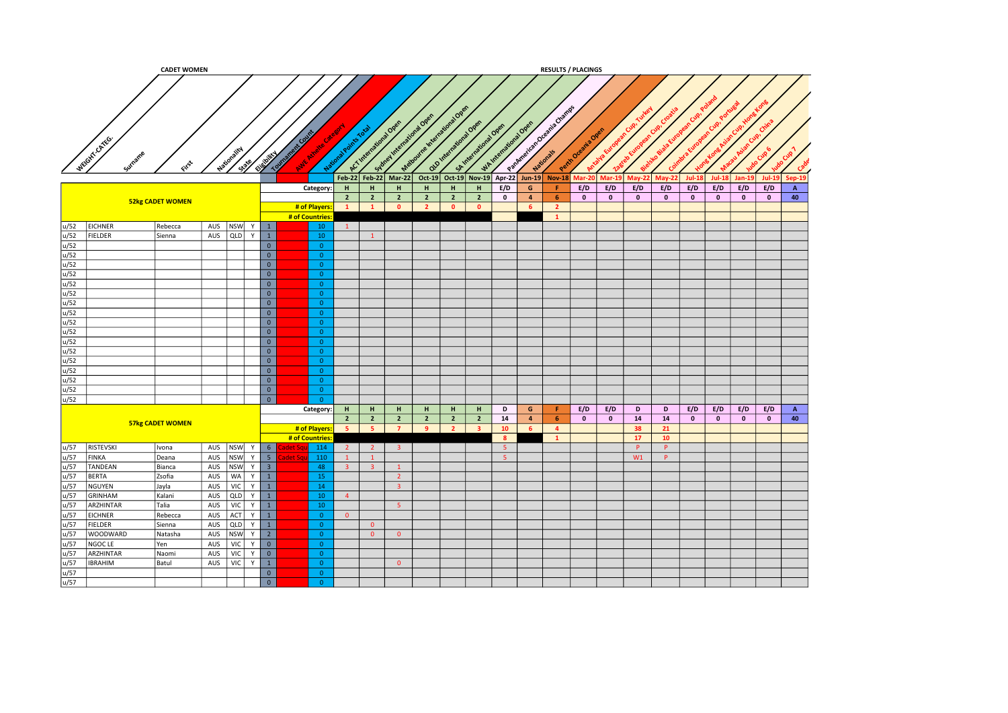|      |                 | <b>CADET WOMEN</b>      |               |     |      |                         |                 |                                   |                 |                        |                                                   |                                 |                |                                               |                         |                | <b>RESULTS / PLACINGS</b>                                        |                   |              |           |               |              |              |              |           |              |
|------|-----------------|-------------------------|---------------|-----|------|-------------------------|-----------------|-----------------------------------|-----------------|------------------------|---------------------------------------------------|---------------------------------|----------------|-----------------------------------------------|-------------------------|----------------|------------------------------------------------------------------|-------------------|--------------|-----------|---------------|--------------|--------------|--------------|-----------|--------------|
|      |                 |                         |               |     |      |                         |                 |                                   |                 |                        |                                                   |                                 |                |                                               |                         |                |                                                                  |                   |              |           |               |              |              |              |           |              |
|      | WEIGHT-CATEG.   | یجی                     | Nation.       |     | 1339 | <b>City Market</b>      | <b>Township</b> | nt Cou<br><b>MY AVE</b><br>Nation |                 | A.C.International Open | Sydney International Over<br>Feb-22 Feb-22 Mar-22 | Material Indiana Open<br>Oct-19 | national Ope   | SA International Oper<br>Oct-19 Nov-19 Apr-22 | WAINTENTWORKDORE        |                | Paperbourge of the Charles Charles<br>Jun-19 Nov-18 Mar-20 Mar-1 | Perth Oceania Ore |              | Mav-2     | <b>May-22</b> | $Jul-13$     | $Jul-18$     | $Jan-19$     | $Jul-19$  | Sep-19       |
|      |                 |                         |               |     |      |                         |                 | Category:                         | H               | H                      | H                                                 | H                               | $\mathbf H$    | H                                             | E/D                     | $\mathsf{G}$   | Æ.                                                               | E/D               | E/D          | E/D       | E/D           | E/D          | E/D          | E/D          | E/D       | $\mathbf{A}$ |
|      |                 | <b>52kg CADET WOMEN</b> |               |     |      |                         |                 |                                   | $\overline{2}$  | $\overline{2}$         | $\overline{2}$                                    | $\overline{2}$                  | $\overline{2}$ | $\overline{2}$                                | $\mathbf{0}$            | $\overline{4}$ | 6 <sup>1</sup>                                                   | $\bullet$         | $\mathbf{0}$ | $\bullet$ | $\mathbf{0}$  | $\mathbf{0}$ | $\mathbf{0}$ | $\pmb{0}$    | $\bullet$ | 40           |
|      |                 |                         |               |     |      |                         |                 | # of Players:                     | $\mathbf{1}$    | $\mathbf{1}$           | $\bullet$                                         | $\overline{2}$                  | $\bullet$      | $\bullet$                                     |                         | 6 <sup>1</sup> | $\overline{2}$                                                   |                   |              |           |               |              |              |              |           |              |
|      |                 |                         |               |     |      |                         |                 | # of Countries                    |                 |                        |                                                   |                                 |                |                                               |                         |                | $\mathbf{1}$                                                     |                   |              |           |               |              |              |              |           |              |
| u/52 | <b>EICHNER</b>  | Rebecca                 | AUS NSW $Y$ 1 |     |      |                         |                 | 10                                | $\vert 1 \vert$ |                        |                                                   |                                 |                |                                               |                         |                |                                                                  |                   |              |           |               |              |              |              |           |              |
| u/52 | <b>FIELDER</b>  | Sienna                  | AUS           | QLD | Y    | $\overline{1}$          |                 | 10                                |                 | $\mathbf{1}$           |                                                   |                                 |                |                                               |                         |                |                                                                  |                   |              |           |               |              |              |              |           |              |
| u/52 |                 |                         |               |     |      | $\overline{0}$          |                 | $\overline{0}$                    |                 |                        |                                                   |                                 |                |                                               |                         |                |                                                                  |                   |              |           |               |              |              |              |           |              |
| u/52 |                 |                         |               |     |      | $\overline{0}$          |                 | $\overline{0}$                    |                 |                        |                                                   |                                 |                |                                               |                         |                |                                                                  |                   |              |           |               |              |              |              |           |              |
| u/52 |                 |                         |               |     |      | $\overline{0}$          |                 | $\overline{0}$                    |                 |                        |                                                   |                                 |                |                                               |                         |                |                                                                  |                   |              |           |               |              |              |              |           |              |
| u/52 |                 |                         |               |     |      | $\overline{\mathbf{0}}$ |                 | $\overline{0}$                    |                 |                        |                                                   |                                 |                |                                               |                         |                |                                                                  |                   |              |           |               |              |              |              |           |              |
| u/52 |                 |                         |               |     |      | $\overline{0}$          |                 | $\overline{0}$                    |                 |                        |                                                   |                                 |                |                                               |                         |                |                                                                  |                   |              |           |               |              |              |              |           |              |
| u/52 |                 |                         |               |     |      | $\overline{\mathbf{0}}$ |                 | $\overline{0}$                    |                 |                        |                                                   |                                 |                |                                               |                         |                |                                                                  |                   |              |           |               |              |              |              |           |              |
| u/52 |                 |                         |               |     |      | $\overline{0}$          |                 | $\overline{0}$                    |                 |                        |                                                   |                                 |                |                                               |                         |                |                                                                  |                   |              |           |               |              |              |              |           |              |
| u/52 |                 |                         |               |     |      | $\overline{0}$          |                 | $\overline{0}$                    |                 |                        |                                                   |                                 |                |                                               |                         |                |                                                                  |                   |              |           |               |              |              |              |           |              |
| u/52 |                 |                         |               |     |      | $\overline{0}$          |                 | $\overline{0}$                    |                 |                        |                                                   |                                 |                |                                               |                         |                |                                                                  |                   |              |           |               |              |              |              |           |              |
| u/52 |                 |                         |               |     |      | $\overline{0}$          |                 | $\overline{0}$                    |                 |                        |                                                   |                                 |                |                                               |                         |                |                                                                  |                   |              |           |               |              |              |              |           |              |
| u/52 |                 |                         |               |     |      | $\overline{\mathbf{0}}$ |                 | $\overline{0}$                    |                 |                        |                                                   |                                 |                |                                               |                         |                |                                                                  |                   |              |           |               |              |              |              |           |              |
| u/52 |                 |                         |               |     |      | $\overline{\mathbf{0}}$ |                 | $\overline{0}$                    |                 |                        |                                                   |                                 |                |                                               |                         |                |                                                                  |                   |              |           |               |              |              |              |           |              |
| u/52 |                 |                         |               |     |      | $\overline{0}$          |                 | $\overline{0}$                    |                 |                        |                                                   |                                 |                |                                               |                         |                |                                                                  |                   |              |           |               |              |              |              |           |              |
| u/52 |                 |                         |               |     |      | $\overline{\ }$         |                 | $\overline{0}$                    |                 |                        |                                                   |                                 |                |                                               |                         |                |                                                                  |                   |              |           |               |              |              |              |           |              |
| u/52 |                 |                         |               |     |      | $\overline{0}$          |                 | $\overline{0}$                    |                 |                        |                                                   |                                 |                |                                               |                         |                |                                                                  |                   |              |           |               |              |              |              |           |              |
| u/52 |                 |                         |               |     |      | $\overline{\mathbf{0}}$ |                 | $\overline{0}$                    |                 |                        |                                                   |                                 |                |                                               |                         |                |                                                                  |                   |              |           |               |              |              |              |           |              |
| u/52 |                 |                         |               |     |      | $\overline{0}$          |                 | $\overline{0}$                    |                 |                        |                                                   |                                 |                |                                               |                         |                |                                                                  |                   |              |           |               |              |              |              |           |              |
|      |                 |                         |               |     |      |                         |                 | Category:                         | H               | H                      | H                                                 | H                               | H              | H                                             | D                       | G              | F.                                                               | E/D               | E/D          | D         | D             | E/D          | E/D          | E/D          | E/D       | $\mathbf{A}$ |
|      |                 | 57kg CADET WOMEN        |               |     |      |                         |                 |                                   | $\overline{2}$  | $\overline{2}$         | $\overline{2}$                                    | $\overline{2}$                  | $\overline{2}$ | $\overline{2}$                                | 14                      | $\overline{4}$ | 6                                                                | $\mathbf{0}$      | $\mathbf{0}$ | 14        | 14            | $\bullet$    | $\bullet$    | $\mathbf{0}$ | $\bullet$ | 40           |
|      |                 |                         |               |     |      |                         |                 | # of Players:                     | $-5$            | -5                     | $\overline{7}$                                    | -9                              | $\overline{2}$ | $\overline{\mathbf{3}}$                       | 10                      | 6 <sup>1</sup> | $\overline{4}$                                                   |                   |              | 38        | 21            |              |              |              |           |              |
|      |                 |                         |               |     |      |                         |                 | # of Countries:                   |                 |                        |                                                   |                                 |                |                                               | $\overline{\mathbf{8}}$ |                | $\mathbf{1}$                                                     |                   |              | 17        | 10            |              |              |              |           |              |
| u/57 | RISTEVSKI       | Ivona                   | AUS           |     |      | NSW Y 6                 | idet So         | 114                               | $\overline{2}$  | $\overline{2}$         | 3 <sup>1</sup>                                    |                                 |                |                                               | $-5$                    |                |                                                                  |                   |              | P         | P             |              |              |              |           |              |
| u/57 | <b>FINKA</b>    | Deana                   | AUS           |     |      | NSW Y 5                 | det Sc          | 110                               | $\mathbf{1}$    | $\mathbf{1}$           |                                                   |                                 |                |                                               | $-5$                    |                |                                                                  |                   |              | W1        | P             |              |              |              |           |              |
| u/57 | <b>TANDEAN</b>  | Bianca                  | AUS           |     |      | NSW Y 3                 |                 | 48                                | 3 <sup>°</sup>  | 3 <sup>2</sup>         | $\mathbf{1}$                                      |                                 |                |                                               |                         |                |                                                                  |                   |              |           |               |              |              |              |           |              |
| u/57 | <b>BERTA</b>    | Zsofia                  | AUS           |     |      | $WA$ $Y$ $1$            |                 | 15                                |                 |                        | $\overline{2}$                                    |                                 |                |                                               |                         |                |                                                                  |                   |              |           |               |              |              |              |           |              |
| u/57 | NGUYEN          | Jayla                   | AUS           |     |      | $VIC$ $Y$ $1$           |                 | 14                                |                 |                        | 3 <sup>°</sup>                                    |                                 |                |                                               |                         |                |                                                                  |                   |              |           |               |              |              |              |           |              |
| u/57 | GRINHAM         | Kalani                  | AUS           | QLD |      | $Y \mid 1$              |                 | 10 <sup>°</sup>                   | $\overline{4}$  |                        |                                                   |                                 |                |                                               |                         |                |                                                                  |                   |              |           |               |              |              |              |           |              |
| u/57 | ARZHINTAR       | Talia                   | AUS           | VIC |      | $Y \mid 1$              |                 | 10                                |                 |                        | 5 <sup>°</sup>                                    |                                 |                |                                               |                         |                |                                                                  |                   |              |           |               |              |              |              |           |              |
| u/57 | <b>EICHNER</b>  | Rebecca                 | AUS           |     |      | ACT  Y   1              |                 | $\overline{0}$                    | $\overline{0}$  |                        |                                                   |                                 |                |                                               |                         |                |                                                                  |                   |              |           |               |              |              |              |           |              |
| u/57 | <b>FIELDER</b>  | Sienna                  | AUS           |     |      | QUD Y 1                 |                 | $\overline{0}$                    |                 | $\overline{0}$         |                                                   |                                 |                |                                               |                         |                |                                                                  |                   |              |           |               |              |              |              |           |              |
| u/57 | <b>WOODWARD</b> | Natasha                 | AUS           |     |      | NSW Y 2                 |                 | $\overline{0}$                    |                 | $\overline{0}$         | $\overline{0}$                                    |                                 |                |                                               |                         |                |                                                                  |                   |              |           |               |              |              |              |           |              |
| u/57 | NGOC LE         | Yen                     | AUS           | VIC |      | $Y$ 0                   |                 | $\overline{0}$                    |                 |                        |                                                   |                                 |                |                                               |                         |                |                                                                  |                   |              |           |               |              |              |              |           |              |
| u/57 | ARZHINTAR       | Naomi                   | AUS           | VIC | Y    | $\overline{\mathbf{0}}$ |                 | $\overline{0}$                    |                 |                        |                                                   |                                 |                |                                               |                         |                |                                                                  |                   |              |           |               |              |              |              |           |              |
| u/57 | <b>IBRAHIM</b>  | Batul                   | $AUS$   VIC   |     |      | $Y \parallel 1$         |                 | $\bullet$                         |                 |                        | $\overline{0}$                                    |                                 |                |                                               |                         |                |                                                                  |                   |              |           |               |              |              |              |           |              |
| u/57 |                 |                         |               |     |      | $\mathbf{0}$            |                 | $\overline{0}$                    |                 |                        |                                                   |                                 |                |                                               |                         |                |                                                                  |                   |              |           |               |              |              |              |           |              |
| u/57 |                 |                         |               |     |      | $\overline{0}$          |                 | $\overline{0}$                    |                 |                        |                                                   |                                 |                |                                               |                         |                |                                                                  |                   |              |           |               |              |              |              |           |              |